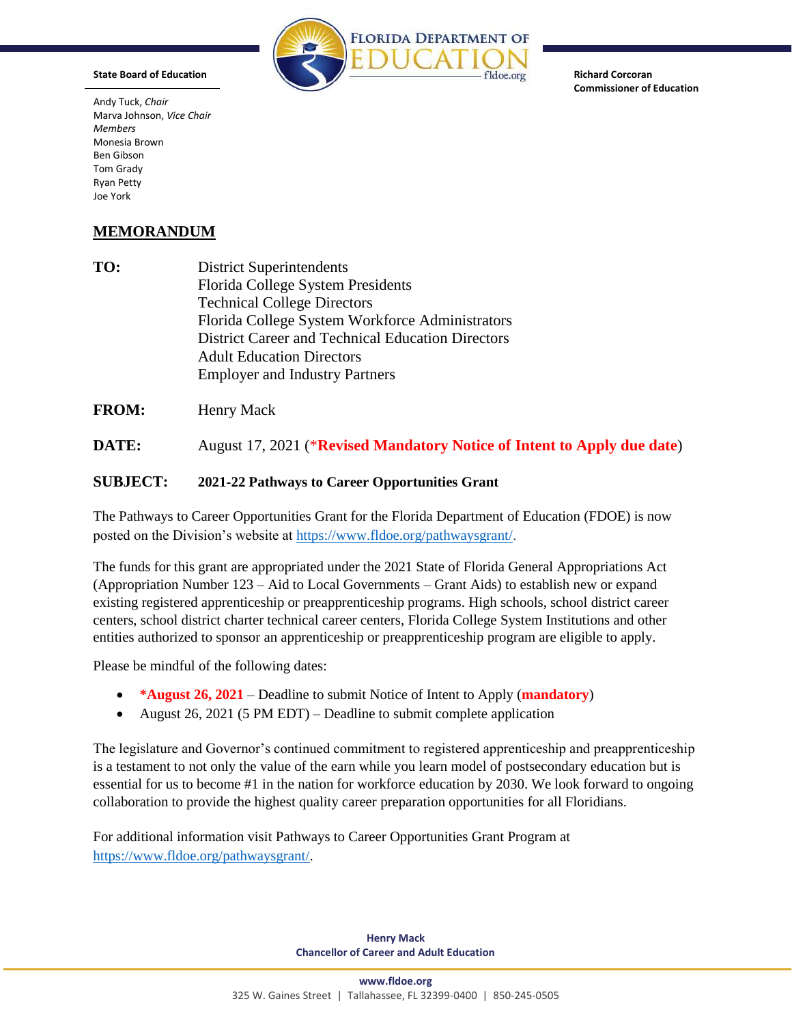

**Richard Corcoran Commissioner of Education** 

**M E M O R A N D U M** Joe York Andy Tuck, *Chair*  Marva Johnson, *Vice Chair Members*  Monesia Brown Ben Gibson Tom Grady Ryan Petty

**State Board of Education** 

## **MEMORANDUM**

**TO:** District Superintendents Florida College System Presidents Technical College Directors Florida College System Workforce Administrators District Career and Technical Education Directors Adult Education Directors Employer and Industry Partners

**FROM:** Henry Mack

**DATE:** August 17, 2021 (\***Revised Mandatory Notice of Intent to Apply due date**)

## **SUBJECT: 2021-22 Pathways to Career Opportunities Grant**

The Pathways to Career Opportunities Grant for the Florida Department of Education (FDOE) is now posted on the Division's website at [https://www.fldoe.org/pathwaysgrant/.](https://www.fldoe.org/pathwaysgrant/)

 The funds for this grant are appropriated under the 2021 State of Florida General Appropriations Act (Appropriation Number 123 – Aid to Local Governments – Grant Aids) to establish new or expand existing registered apprenticeship or preapprenticeship programs. High schools, school district career centers, school district charter technical career centers, Florida College System Institutions and other entities authorized to sponsor an apprenticeship or preapprenticeship program are eligible to apply.

Please be mindful of the following dates:

- **\*August 26, 2021**  Deadline to submit Notice of Intent to Apply (**mandatory**)
- August 26, 2021 (5 PM EDT) Deadline to submit complete application

 is a testament to not only the value of the earn while you learn model of postsecondary education but is The legislature and Governor's continued commitment to registered apprenticeship and preapprenticeship essential for us to become #1 in the nation for workforce education by 2030. We look forward to ongoing collaboration to provide the highest quality career preparation opportunities for all Floridians.

For additional information visit Pathways to Career Opportunities Grant Program at [https://www.fldoe.org/pathwaysgrant/.](https://www.fldoe.org/pathwaysgrant/)

> **Henry Mack Chancellor of Career and Adult Education**